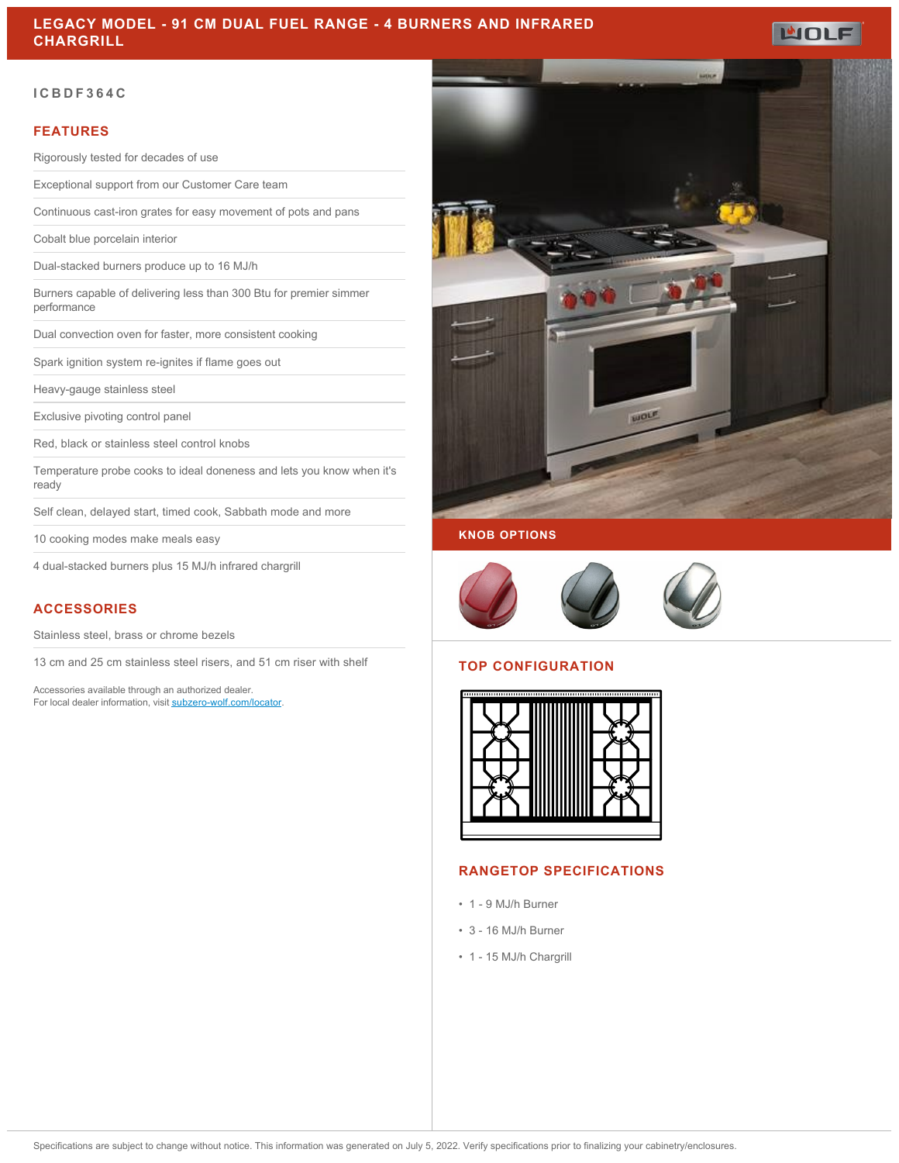## **LEGACY MODEL - 91 CM DUAL FUEL RANGE - 4 BURNERS AND INFRARED CHARGRILL**

### **ICBDF364C**

### **FEATURES**

Rigorously tested for decades of use

Exceptional support from our Customer Care team

Continuous cast-iron grates for easy movement of pots and pans

Cobalt blue porcelain interior

Dual-stacked burners produce up to 16 MJ/h

Burners capable of delivering less than 300 Btu for premier simmer performance

Dual convection oven for faster, more consistent cooking

Spark ignition system re-ignites if flame goes out

Heavy-gauge stainless steel

Exclusive pivoting control panel

Red, black or stainless steel control knobs

Temperature probe cooks to ideal doneness and lets you know when it's ready

Self clean, delayed start, timed cook, Sabbath mode and more

10 cooking modes make meals easy

4 dual-stacked burners plus 15 MJ/h infrared chargrill

### **ACCESSORIES**

Stainless steel, brass or chrome bezels

13 cm and 25 cm stainless steel risers, and 51 cm riser with shelf

Accessories available through an authorized dealer. For local dealer information, visit [subzero-wolf.com/locator.](http://www.subzero-wolf.com/locator)



**WOLF** 

#### **KNOB OPTIONS**



### **TOP CONFIGURATION**



### **RANGETOP SPECIFICATIONS**

- 1 9 MJ/h Burner
- 3 16 MJ/h Burner
- 1 15 MJ/h Chargrill